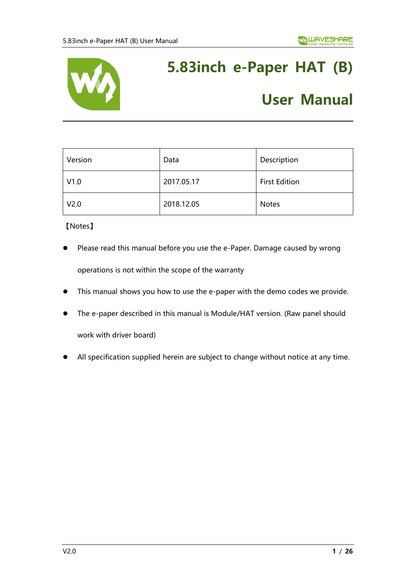

# **5.83inch e-Paper HAT (B)**

# **User Manual**

| Version          | Data       | Description          |
|------------------|------------|----------------------|
| V1.0             | 2017.05.17 | <b>First Edition</b> |
| V <sub>2.0</sub> | 2018.12.05 | <b>Notes</b>         |

【Notes】

- Please read this manual before you use the e-Paper. Damage caused by wrong operations is not within the scope of the warranty
- ⚫ This manual shows you how to use the e-paper with the demo codes we provide.
- The e-paper described in this manual is Module/HAT version. (Raw panel should work with driver board)
- ⚫ All specification supplied herein are subject to change without notice at any time.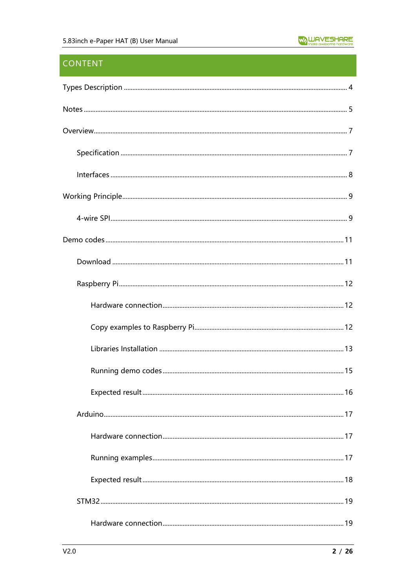# **CONTENT**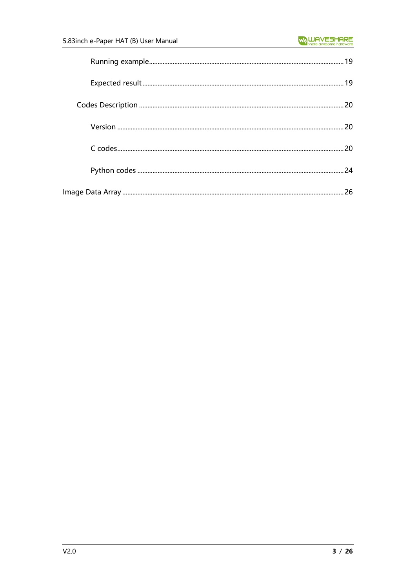| 20 |
|----|
|    |
| 26 |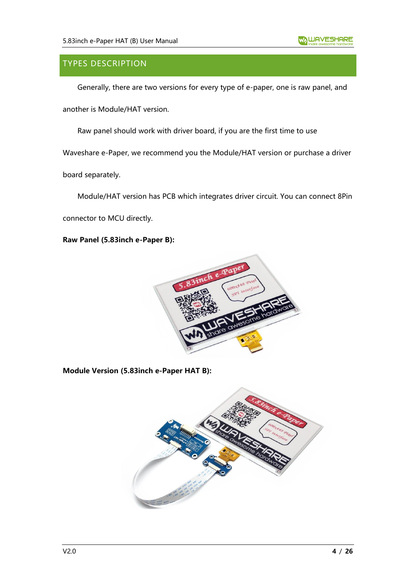# <span id="page-3-0"></span>TYPES DESCRIPTION

Generally, there are two versions for every type of e-paper, one is raw panel, and

another is Module/HAT version.

Raw panel should work with driver board, if you are the first time to use

Waveshare e-Paper, we recommend you the Module/HAT version or purchase a driver

board separately.

Module/HAT version has PCB which integrates driver circuit. You can connect 8Pin

connector to MCU directly.

**Raw Panel (5.83inch e-Paper B):**



**Module Version (5.83inch e-Paper HAT B):**

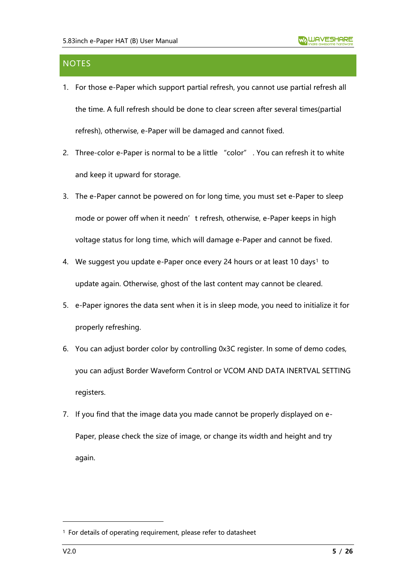# <span id="page-4-0"></span>**NOTES**

- 1. For those e-Paper which support partial refresh, you cannot use partial refresh all the time. A full refresh should be done to clear screen after several times(partial refresh), otherwise, e-Paper will be damaged and cannot fixed.
- 2. Three-color e-Paper is normal to be a little "color" . You can refresh it to white and keep it upward for storage.
- 3. The e-Paper cannot be powered on for long time, you must set e-Paper to sleep mode or power off when it needn't refresh, otherwise, e-Paper keeps in high voltage status for long time, which will damage e-Paper and cannot be fixed.
- 4. We suggest you update e-Paper once every 24 hours or at least 10 days<sup>1</sup> to update again. Otherwise, ghost of the last content may cannot be cleared.
- 5. e-Paper ignores the data sent when it is in sleep mode, you need to initialize it for properly refreshing.
- 6. You can adjust border color by controlling 0x3C register. In some of demo codes, you can adjust Border Waveform Control or VCOM AND DATA INERTVAL SETTING registers.
- 7. If you find that the image data you made cannot be properly displayed on e-Paper, please check the size of image, or change its width and height and try again.

<sup>1</sup> For details of operating requirement, please refer to datasheet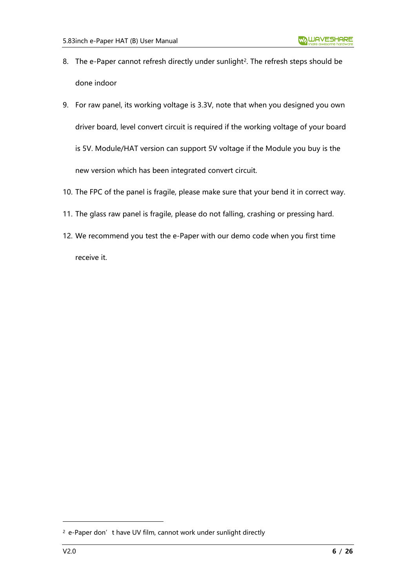- 8. The e-Paper cannot refresh directly under sunlight<sup>2</sup>. The refresh steps should be done indoor
- 9. For raw panel, its working voltage is 3.3V, note that when you designed you own driver board, level convert circuit is required if the working voltage of your board is 5V. Module/HAT version can support 5V voltage if the Module you buy is the new version which has been integrated convert circuit.
- 10. The FPC of the panel is fragile, please make sure that your bend it in correct way.
- 11. The glass raw panel is fragile, please do not falling, crashing or pressing hard.
- 12. We recommend you test the e-Paper with our demo code when you first time receive it.

<sup>&</sup>lt;sup>2</sup> e-Paper don't have UV film, cannot work under sunlight directly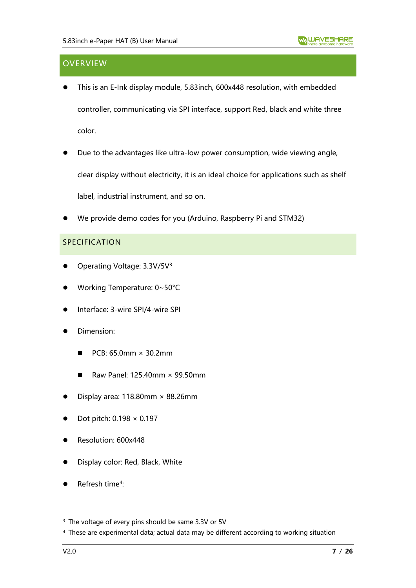# <span id="page-6-0"></span>**OVERVIEW**

- ⚫ This is an E-Ink display module, 5.83inch, 600x448 resolution, with embedded controller, communicating via SPI interface, support Red, black and white three color.
- Due to the advantages like ultra-low power consumption, wide viewing angle, clear display without electricity, it is an ideal choice for applications such as shelf label, industrial instrument, and so on.
- ⚫ We provide demo codes for you (Arduino, Raspberry Pi and STM32)

#### <span id="page-6-1"></span>SPECIFICATION

- Operating Voltage: 3.3V/5V<sup>3</sup>
- ⚫ Working Temperature: 0~50°C
- ⚫ Interface: 3-wire SPI/4-wire SPI
- ⚫ Dimension:
	- $\blacksquare$  PCB: 65.0mm  $\times$  30.2mm
	- $\blacksquare$  Raw Panel: 125.40mm  $\times$  99.50mm
- Display area:  $118.80$ mm  $\times$  88.26mm
- ⚫ Dot pitch: 0.198 × 0.197
- ⚫ Resolution: 600x448
- ⚫ Display color: Red, Black, White
- Refresh time<sup>4</sup>:

<sup>&</sup>lt;sup>3</sup> The voltage of every pins should be same 3.3V or 5V

<sup>4</sup> These are experimental data; actual data may be different according to working situation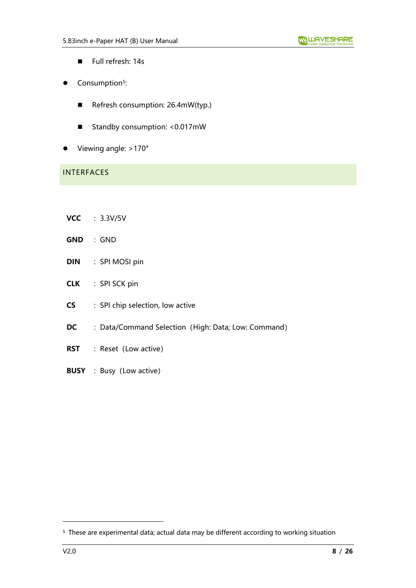- Full refresh: 14s
- Consumption<sup>5</sup>:
	- Refresh consumption: 26.4mW(typ.)
	- Standby consumption: <0.017mW
- Viewing angle: >170°

# <span id="page-7-0"></span>INTERFACES

- **VCC** :3.3V/5V
- **GND** :GND
- **DIN** : SPI MOSI pin
- **CLK** : SPI SCK pin
- **CS** : SPI chip selection, low active
- **DC** : Data/Command Selection (High: Data; Low: Command)
- **RST** : Reset (Low active)
- **BUSY** : Busy (Low active)

<sup>5</sup> These are experimental data; actual data may be different according to working situation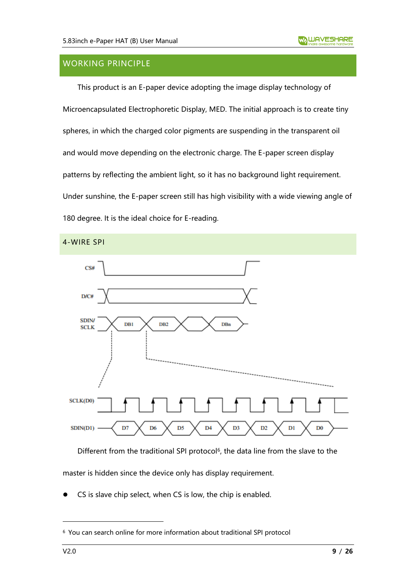# <span id="page-8-0"></span>WORKING PRINCIPLE

This product is an E-paper device adopting the image display technology of Microencapsulated Electrophoretic Display, MED. The initial approach is to create tiny spheres, in which the charged color pigments are suspending in the transparent oil and would move depending on the electronic charge. The E-paper screen display patterns by reflecting the ambient light, so it has no background light requirement. Under sunshine, the E-paper screen still has high visibility with a wide viewing angle of 180 degree. It is the ideal choice for E-reading.

<span id="page-8-1"></span>

Different from the traditional SPI protocol<sup>6</sup>, the data line from the slave to the master is hidden since the device only has display requirement.

CS is slave chip select, when CS is low, the chip is enabled.

<sup>6</sup> You can search online for more information about traditional SPI protocol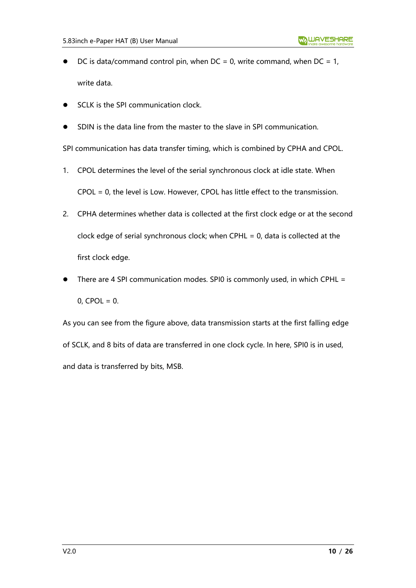- DC is data/command control pin, when  $DC = 0$ , write command, when  $DC = 1$ , write data.
- SCLK is the SPI communication clock.
- ⚫ SDIN is the data line from the master to the slave in SPI communication.

SPI communication has data transfer timing, which is combined by CPHA and CPOL.

- 1. CPOL determines the level of the serial synchronous clock at idle state. When CPOL = 0, the level is Low. However, CPOL has little effect to the transmission.
- 2. CPHA determines whether data is collected at the first clock edge or at the second clock edge of serial synchronous clock; when CPHL = 0, data is collected at the first clock edge.
- There are 4 SPI communication modes. SPI0 is commonly used, in which CPHL =  $0,$  CPOL = 0.

As you can see from the figure above, data transmission starts at the first falling edge of SCLK, and 8 bits of data are transferred in one clock cycle. In here, SPI0 is in used, and data is transferred by bits, MSB.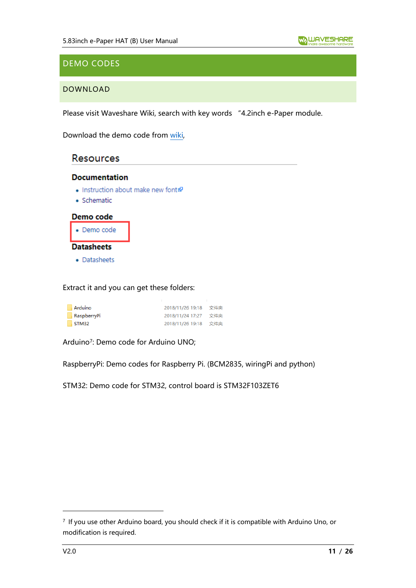# <span id="page-10-0"></span>DEMO CODES

## <span id="page-10-1"></span>DOWNLOAD

Please visit Waveshare Wiki, search with key words "4.2inch e-Paper module.

Download the demo code from [wiki,](https://www.waveshare.com/wiki/5.83inch_e-Paper_HAT_(B))

# **Resources**

#### **Documentation**

- Instruction about make new font
- · Schematic



Extract it and you can get these folders:

| Arduino     | 2018/11/26 19:18 文件夹 |     |
|-------------|----------------------|-----|
| RaspberryPi | 2018/11/24 17:27     | 文件夹 |
| STM32       | 2018/11/26 19:18 文件夹 |     |

Arduino<sup>7</sup> : Demo code for Arduino UNO;

RaspberryPi: Demo codes for Raspberry Pi. (BCM2835, wiringPi and python)

STM32: Demo code for STM32, control board is STM32F103ZET6

<sup>7</sup> If you use other Arduino board, you should check if it is compatible with Arduino Uno, or modification is required.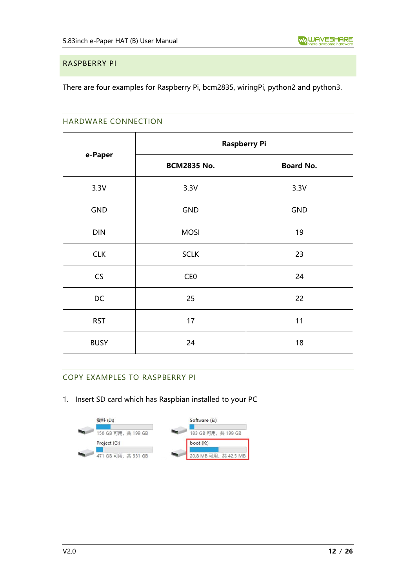#### <span id="page-11-0"></span>RASPBERRY PI

<span id="page-11-1"></span>There are four examples for Raspberry Pi, bcm2835, wiringPi, python2 and python3.

#### HARDWARE CONNECTION

|             | <b>Raspberry Pi</b> |                  |  |
|-------------|---------------------|------------------|--|
| e-Paper     | <b>BCM2835 No.</b>  | <b>Board No.</b> |  |
| 3.3V        | 3.3V                | 3.3V             |  |
| <b>GND</b>  | <b>GND</b>          | <b>GND</b>       |  |
| <b>DIN</b>  | <b>MOSI</b>         | 19               |  |
| <b>CLK</b>  | <b>SCLK</b>         | 23               |  |
| CS          | CE <sub>0</sub>     | 24               |  |
| DC          | 25                  | 22               |  |
| <b>RST</b>  | 17                  | 11               |  |
| <b>BUSY</b> | 24                  | 18               |  |

## <span id="page-11-2"></span>COPY EXAMPLES TO RASPBERRY PI

1. Insert SD card which has Raspbian installed to your PC

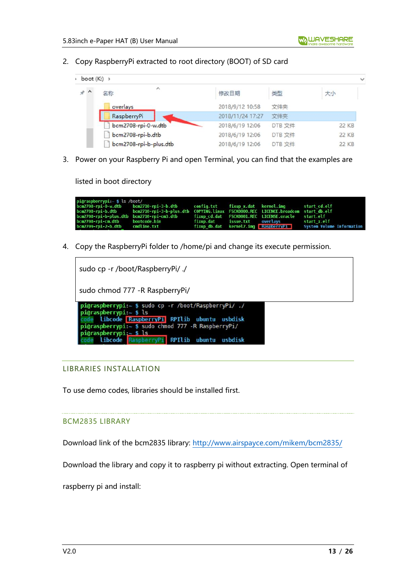2. Copy RaspberryPi extracted to root directory (BOOT) of SD card

| $\rightarrow$ boot (K:) $\rightarrow$ |                           |                  |        |       |
|---------------------------------------|---------------------------|------------------|--------|-------|
| $*$ ^                                 | $\hat{\phantom{a}}$<br>名称 | 修改日期             | 类型     | 大小    |
|                                       | overlays                  | 2018/9/12 10:58  | 文件夹    |       |
|                                       | RaspberryPi               | 2018/11/24 17:27 | 文件夹    |       |
|                                       | bcm2708-rpi-0-w.dtb       | 2018/6/19 12:06  | DTB 文件 | 22 KB |
|                                       | bcm2708-rpi-b.dtb         | 2018/6/19 12:06  | DTB 文件 | 22 KB |
|                                       | bcm2708-rpi-b-plus.dtb    | 2018/6/19 12:06  | DTB 文件 | 22 KB |

3. Power on your Raspberry Pi and open Terminal, you can find that the examples are

listed in boot directory

| pi@raspberrypi:~ \$ ls /boot/   |                                                                                                    |  |                                          |                                                                |
|---------------------------------|----------------------------------------------------------------------------------------------------|--|------------------------------------------|----------------------------------------------------------------|
|                                 | bcm2708-rpi-0-w.dtb bcm2710-rpi-3-b.dtb config.txt fixup_x.dat kernel.img start_cd.elf             |  |                                          |                                                                |
|                                 | bcm2708-rpi-b.dtb bcm2710-rpi-3-b-plus.dtb COPYING.linux FSCK0000.REC LICENCE.broadcom startdb.elf |  |                                          |                                                                |
|                                 | bcm2708-rpi-b-plus.dtb bcm2710-rpi-cm3.dtb fixup cd.dat FSCK0001.REC LICENSE.oracle start.elf      |  |                                          |                                                                |
| bcm2708-rpi-cm.dtb bootcode.bin |                                                                                                    |  | fixup.dat issue.txt overlavs startːx.elf |                                                                |
| bcm2709-rpi-2-b.dtb cmdline.txt |                                                                                                    |  |                                          | fixup db.dat kernel7.imq RaspberryPi System Volume Information |

4. Copy the RaspberryPi folder to /home/pi and change its execute permission.

| sudo cp -r /boot/RaspberryPi/ ./                                                                                                                                                                                                                              |
|---------------------------------------------------------------------------------------------------------------------------------------------------------------------------------------------------------------------------------------------------------------|
| sudo chmod 777 - R Raspberry Pi/                                                                                                                                                                                                                              |
| pi@raspberrypi:~ \$ sudo cp -r /boot/RaspberryPi/ ./<br>pi@raspberrypi: $~5$ ls<br>libcode RaspberryPi RPIlib ubuntu usbdisk<br>pi@raspberrypi:~ \$ sudo chmod 777 -R RaspberryPi/<br>pi@raspberrypi: $~5$ ls<br>libcode RaspberryPi RPIlib ubuntu<br>usbdisk |

#### <span id="page-12-0"></span>LIBRARIES INSTALLATION

To use demo codes, libraries should be installed first.

#### BCM2835 LIBRARY

Download link of the bcm2835 library:<http://www.airspayce.com/mikem/bcm2835/>

Download the library and copy it to raspberry pi without extracting. Open terminal of

raspberry pi and install: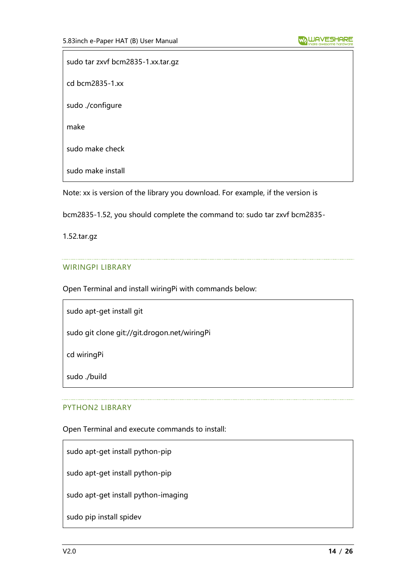sudo tar zxvf bcm2835-1.xx.tar.gz cd bcm2835-1.xx sudo ./configure make sudo make check sudo make install

Note: xx is version of the library you download. For example, if the version is

bcm2835-1.52, you should complete the command to: sudo tar zxvf bcm2835-

1.52.tar.gz

#### WIRINGPI LIBRARY

Open Terminal and install wiringPi with commands below:

sudo apt-get install git

sudo git clone git://git.drogon.net/wiringPi

cd wiringPi

sudo ./build

#### PYTHON2 LIBRARY

Open Terminal and execute commands to install:

sudo apt-get install python-pip

sudo apt-get install python-pip

sudo apt-get install python-imaging

sudo pip install spidev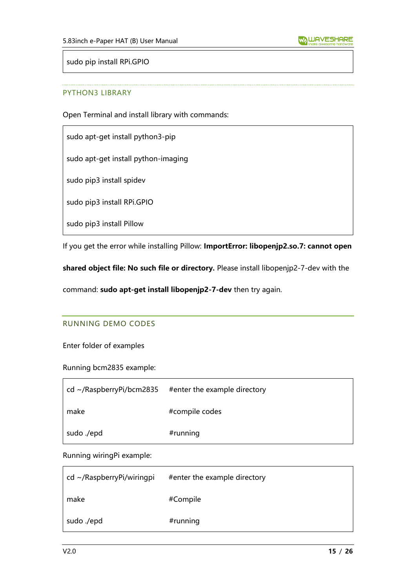sudo pip install RPi.GPIO

#### PYTHON3 LIBRARY

Open Terminal and install library with commands:

sudo apt-get install python3-pip

sudo apt-get install python-imaging

sudo pip3 install spidev

sudo pip3 install RPi.GPIO

sudo pip3 install Pillow

If you get the error while installing Pillow: **ImportError: libopenjp2.so.7: cannot open** 

**shared object file: No such file or directory.** Please install libopenjp2-7-dev with the

<span id="page-14-0"></span>command: **sudo apt-get install libopenjp2-7-dev** then try again.

#### RUNNING DEMO CODES

Enter folder of examples

Running bcm2835 example:

| $\vert$ cd ~/RaspberryPi/bcm2835 | #enter the example directory |
|----------------------------------|------------------------------|
| make                             | #compile codes               |
| sudo ./epd                       | #running                     |

Running wiringPi example:

| $cd \sim$ /RaspberryPi/wiringpi | #enter the example directory |
|---------------------------------|------------------------------|
| make                            | #Compile                     |
| sudo ./epd                      | #running                     |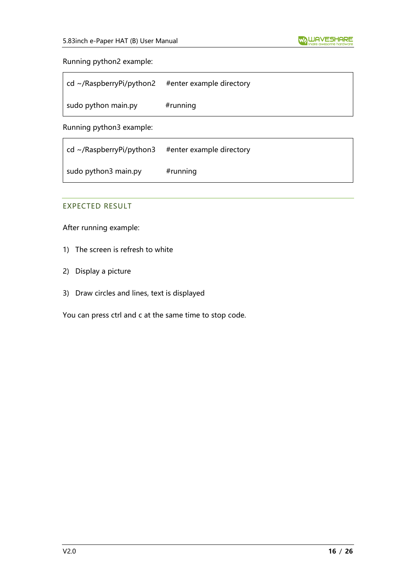#### Running python2 example:

| $\vert$ cd ~/RaspberryPi/python2 | #enter example directory |
|----------------------------------|--------------------------|
| sudo python main.py              | $#$ running              |

Running python3 example:

| $\vert$ cd ~/RaspberryPi/python3 | #enter example directory |
|----------------------------------|--------------------------|
| sudo python3 main.py             | $#$ running              |

## <span id="page-15-0"></span>EXPECTED RESULT

After running example:

- 1) The screen is refresh to white
- 2) Display a picture
- 3) Draw circles and lines, text is displayed

You can press ctrl and c at the same time to stop code.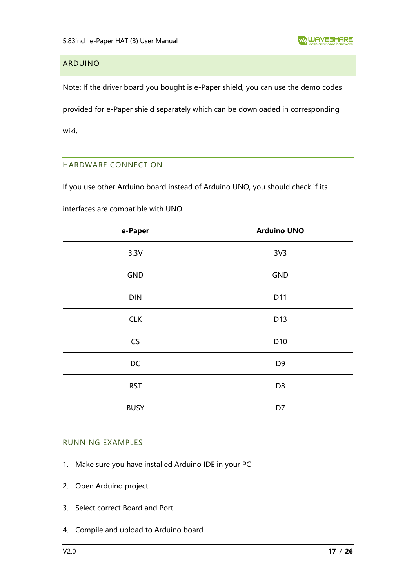## <span id="page-16-0"></span>ARDUINO

Note: If the driver board you bought is e-Paper shield, you can use the demo codes provided for e-Paper shield separately which can be downloaded in corresponding

<span id="page-16-1"></span>wiki.

## HARDWARE CONNECTION

If you use other Arduino board instead of Arduino UNO, you should check if its

interfaces are compatible with UNO.

| e-Paper     | <b>Arduino UNO</b> |
|-------------|--------------------|
| 3.3V        | 3V <sub>3</sub>    |
| <b>GND</b>  | GND                |
| DIN         | D11                |
| <b>CLK</b>  | D13                |
| CS          | D10                |
| DC          | D <sub>9</sub>     |
| <b>RST</b>  | D <sub>8</sub>     |
| <b>BUSY</b> | D7                 |

#### <span id="page-16-2"></span>RUNNING EXAMPLES

- 1. Make sure you have installed Arduino IDE in your PC
- 2. Open Arduino project
- 3. Select correct Board and Port
- 4. Compile and upload to Arduino board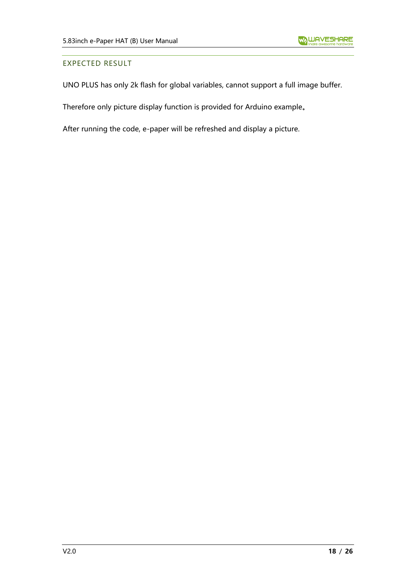#### <span id="page-17-0"></span>EXPECTED RESULT

UNO PLUS has only 2k flash for global variables, cannot support a full image buffer.

Therefore only picture display function is provided for Arduino example。

After running the code, e-paper will be refreshed and display a picture.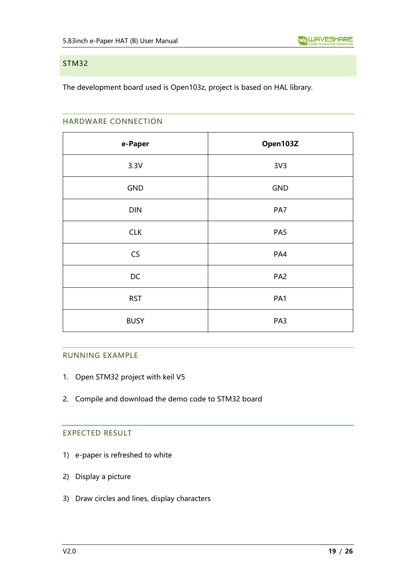#### <span id="page-18-0"></span>STM32

<span id="page-18-1"></span>The development board used is Open103z, project is based on HAL library.

#### HARDWARE CONNECTION

| e-Paper     | Open103Z        |
|-------------|-----------------|
| 3.3V        | 3V <sub>3</sub> |
| GND         | <b>GND</b>      |
| DIN         | PA7             |
| <b>CLK</b>  | PA <sub>5</sub> |
| CS          | PA4             |
| DC          | PA <sub>2</sub> |
| <b>RST</b>  | PA1             |
| <b>BUSY</b> | PA3             |

#### <span id="page-18-2"></span>RUNNING EXAMPLE

- 1. Open STM32 project with keil V5
- <span id="page-18-3"></span>2. Compile and download the demo code to STM32 board

# EXPECTED RESULT

- 1) e-paper is refreshed to white
- 2) Display a picture
- 3) Draw circles and lines, display characters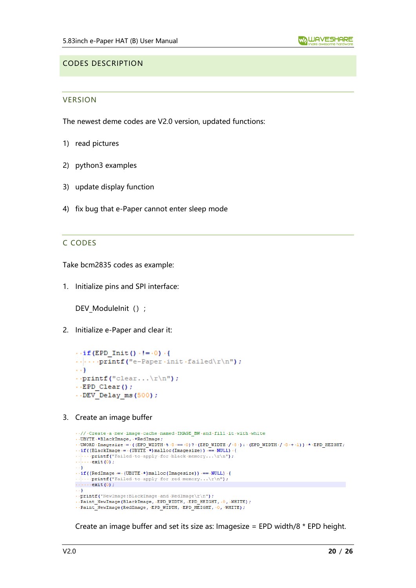#### <span id="page-19-1"></span><span id="page-19-0"></span>CODES DESCRIPTION

#### **VERSION**

The newest deme codes are V2.0 version, updated functions:

- 1) read pictures
- 2) python3 examples
- 3) update display function
- <span id="page-19-2"></span>4) fix bug that e-Paper cannot enter sleep mode

#### C CODES

Take bcm2835 codes as example:

1. Initialize pins and SPI interface:

DEV\_ModuleInit () ;

2. Initialize e-Paper and clear it:

```
\cdot if (EPD Init () \cdot != \cdot 0) \cdot {
\cdotsprintf("e-Paper\cdotinit\cdotfailed\r\n");
\cdots}
\cdot printf ("clear...\r\ln");
\cdot EPD Clear();
\cdot DEV Delay ms (500);
```
3. Create an image buffer

```
\cdot///Create\cdota\cdotnew\cdotimage\cdotcache\cdotnamed\cdotIMAGE BW\cdotand\cdotfill\cdotit\cdotwith\cdotwhite
\cdot . UBYTE \cdot *BlackImage, \cdot *RedImage;
\cdot\cdot\texttt{UWORD}\cdot\texttt{Imagesize} \rightarrowtail (\texttt{(EPD\_WIDTH}\cdot \$\cdot 8\cdot == 0)\ ?\cdot (\texttt{EPD\_WIDTH}\cdot /\cdot 8\cdot ):\cdot (\texttt{EPD\_WIDTH}\cdot /\cdot 8\cdot + \cdot 1))\cdot *\cdot \texttt{EPD\_HEIGHT}\cdot\texttt{figure} \rightarrow \texttt{UBJTE} \cdot *\cdot \texttt{math} \cdot (\texttt{BlackImage} \cdot = \cdot (\texttt{UBYTE} \cdot *\cdot \texttt{math})\cdot (\texttt{Imagesize})) \cdot == \cdot \texttt{NULL} \cdot \cdot (\cdot \cdot \cdot \cdot \cdot ):\cdot \cdot \cdot \cdot \cdot \cdot \cdot \cdot \cdot\ldots . ext(0)\rightarrow + }
\cdot if ((RedImage = \cdot (UBYTE \cdot *) malloc (Imagesize)) == \cdotNULL) \cdot {
\ldots printf ("Failed to apply for red memory...\lceil \cdot \rceil");
\cdots exit (0) ;
\cdots}
\cdot.printf("NewImage:BlackImage.and.RedImage\r\n");
\cdotsPaint_NewImage(BlackImage,\cdotEPD_WIDTH,\cdotEPD_HEIGHT,\cdot0,\cdotWHITE);
\cdot-Paint_NewImage(RedImage, EPD_WIDTH, EPD_HEIGHT, \cdot0, WHITE);
```
Create an image buffer and set its size as: Imagesize = EPD width/8 \* EPD height.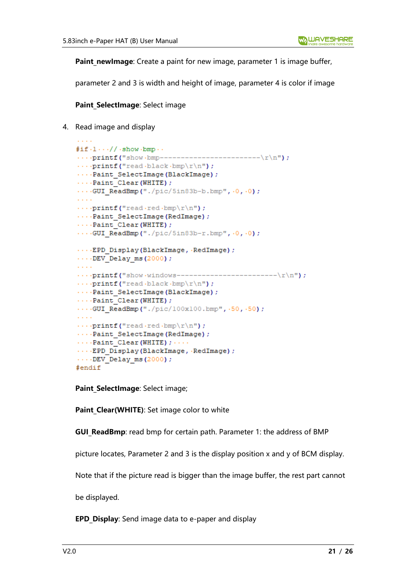**Paint newImage**: Create a paint for new image, parameter 1 is image buffer,

parameter 2 and 3 is width and height of image, parameter 4 is color if image

**Paint SelectImage: Select image** 

4. Read image and display

```
#if \cdot 1 \cdot \cdot \cdot // \cdot show \cdot bmp \cdot \cdot\cdots printf ("read black bmp\r\n");
...Paint SelectImage(BlackImage);
\cdots Paint Clear (WHITE) ;
\cdotsGUI ReadBmp("./pic/5in83b-b.bmp", 0, 0);
\cdots printf ("read red bmp\r\n");
...Paint SelectImage(RedImage) ;
\cdotsPaint Clear (WHITE) ;
\cdotsGUI ReadBmp("./pic/5in83b-r.bmp", \cdot0, \cdot0);
....EPD Display(BlackImage, RedImage);
\cdotsDEV Delay ms(2000);
\cdots printf ("read black bmp\r\n");
...Paint SelectImage(BlackImage);
\cdotsPaint Clear (WHITE) ;
\cdotsGUI_ReadBmp("./pic/100x100.bmp", .50, .50);
\sim 100\cdots printf ("read red bmp\r\n");
...Paint SelectImage(RedImage);
\cdots Paint Clear (WHITE) ; \cdots... EPD Display (BlackImage, RedImage) ;
\cdotsDEV Delay ms(2000);
#endif
```
Paint SelectImage: Select image;

Paint Clear(WHITE): Set image color to white

**GUI ReadBmp**: read bmp for certain path. Parameter 1: the address of BMP

picture locates, Parameter 2 and 3 is the display position x and y of BCM display.

Note that if the picture read is bigger than the image buffer, the rest part cannot

be displayed.

**EPD Display:** Send image data to e-paper and display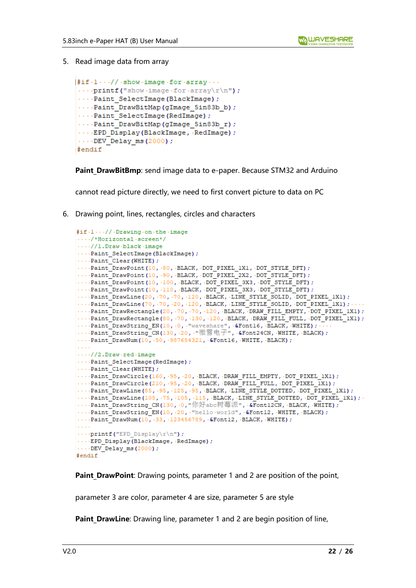5. Read image data from array

```
\sharp \text{if} \cdot 1 \cdots / / \cdot \text{show} \cdot \text{image} \cdot \text{for} \cdot \text{array} \cdots\cdotsprintf("show\cdotimage\cdotfor\cdotarrav\r\n");
 ...Paint SelectImage(BlackImage);
 ....Paint DrawBitMap(gImage 5in83b b);
 ...Paint SelectImage (RedImage) ;
 ....Paint DrawBitMap(gImage 5in83b r);
 .... EPD Display (BlackImage, RedImage) ;
 \cdotsDEV Delay ms(2000);
#endif
```
**Paint DrawBitBmp**: send image data to e-paper. Because STM32 and Arduino

cannot read picture directly, we need to first convert picture to data on PC

6. Drawing point, lines, rectangles, circles and characters

```
#if.1...// Drawing.on.the.image
\cdots/*Horizontal·screen*/
\cdots//1.Draw.black.image
\cdotsPaint SelectImage(BlackImage);
\cdotsPaint Clear (WHITE) ;
...Paint_DrawPoint(10, 80, BLACK, DOT_PIXEL_1X1, DOT_STYLE_DFT);
\cdotsPaint_DrawPoint(10, .90, BLACK, DOT_PIXEL_2X2, DOT_STYLE_DFT);
....Paint_DrawPoint(10, .100, .BLACK, .DOT_PIXEL_3X3, .DOT_STYLE_DFT);<br>....Paint_DrawPoint(10, .110, .BLACK, .DOT_PIXEL_3X3, .DOT_STYLE_DFT);
\cdotsPaint DrawLine (20, \cdot 70, \cdot 70, \cdot 120, \cdot BLACK, \cdotLINE STYLE SOLID, \cdot DOT PIXEL 1X1);
\cdotsPaint DrawLine (70, .70, .20, .120, .BLACK, .LINE STYLE SOLID, .DOT PIXEL 1X1);
...Paint DrawRectangle(20, 70, 70, 120, BLACK, DRAW FILL EMPTY, DOT PIXEL 1X1);
...Paint DrawRectangle(80, 70, 130, 120, BLACK, DRAW FILL FULL, DOT PIXEL 1X1);
....Paint_DrawString_EN(10, 0, "waveshare", &Font16, BLACK, WHITE); ...<br>...Paint_DrawString_CN(130, 20, "微雪电子", &Font24CN, WHITE, BLACK);
\cdotsPaint DrawNum(10, 50, 987654321, &Font16, WHITE, BLACK);
\sim 100\cdots//2.Draw.red.image
\cdotsPaint_SelectImage(RedImage);
\cdotsPaint Clear (WHITE) ;
....Paint DrawCircle(160, .95, .20, .BLACK, .DRAW FILL EMPTY, .DOT PIXEL 1X1);
\cdotsPaint DrawCircle(210, .95, .20, .BLACK, .DRAW FILL FULL, .DOT PIXEL 1X1);
...Paint DrawLine (85, .95, .125, .95, .BLACK, .LINE STYLE DOTTED, .DOT PIXEL 1X1);
\cdotsPaint DrawLine (105, 75, 105, 115, BLACK, LINE STYLE DOTTED, DOT PIXEL 1X1);
...Paint_DrawString_CN(130, 0, "你好abc树莓派", &Font12CN, BLACK, WHITE);
\cdotsPaint_DrawString_EN(10, -20, "hello world", -&Fontl2, -WHITE, -BLACK);
\cdotsPaint DrawNum(10, 33, 123456789, &Font12, BLACK, WHITE);
....print("EPD Display\rr\n'n");
\cdotsEPD Display(BlackImage, RedImage);
\cdotsDEV_Delay_ms(2000);
#endif
```
**Paint DrawPoint**: Drawing points, parameter 1 and 2 are position of the point,

parameter 3 are color, parameter 4 are size, parameter 5 are style

**Paint DrawLine**: Drawing line, parameter 1 and 2 are begin position of line,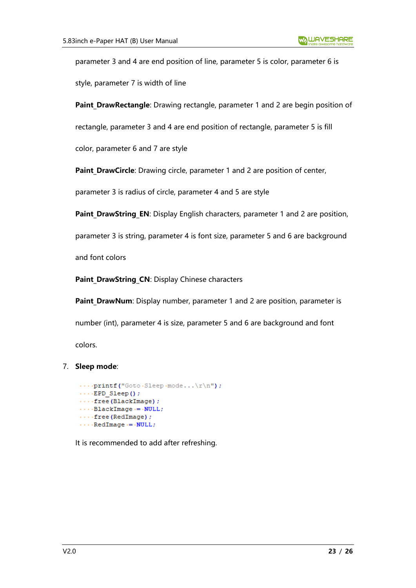parameter 3 and 4 are end position of line, parameter 5 is color, parameter 6 is style, parameter 7 is width of line

**Paint DrawRectangle**: Drawing rectangle, parameter 1 and 2 are begin position of

rectangle, parameter 3 and 4 are end position of rectangle, parameter 5 is fill

color, parameter 6 and 7 are style

**Paint DrawCircle**: Drawing circle, parameter 1 and 2 are position of center,

parameter 3 is radius of circle, parameter 4 and 5 are style

Paint DrawString EN: Display English characters, parameter 1 and 2 are position,

parameter 3 is string, parameter 4 is font size, parameter 5 and 6 are background

and font colors

Paint DrawString CN: Display Chinese characters

Paint DrawNum: Display number, parameter 1 and 2 are position, parameter is number (int), parameter 4 is size, parameter 5 and 6 are background and font colors.

#### 7. **Sleep mode**:

```
\cdotsprintf("Goto Sleep mode...\rm \r\nun");
\cdots EPD Sleep();
\cdots free (BlackImage) ;
\cdots BlackImage \cdots NULL;
\cdots free (RedImage) ;
\cdots RedImage \cdots NULL;
```
It is recommended to add after refreshing.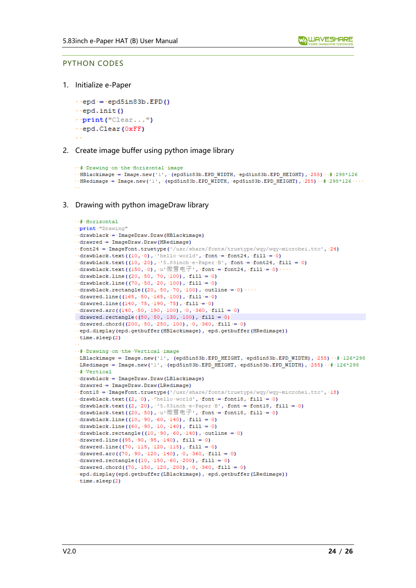#### <span id="page-23-0"></span>PYTHON CODES

1. Initialize e-Paper

 $\cdot$  · epd ·= · epd5in83b. EPD()  $\cdot$  · epd. init ()  $\cdot$  print ("Clear...")  $\cdot$  -epd. Clear (OxFF)

#### 2. Create image buffer using python image library

```
... # Drawing .on .the .Horizontal .image
\cdot HBlackimage = Image.new('1', (epd5in83b.EPD WIDTH, epd5in83b.EPD HEIGHT), 255) \cdot # 298*126
\cdot HRedimage = Image.new('1', (epd5in83b.EPD_WIDTH, epd5in83b.EPD_HEIGHT), 255) + \neq 298*126 · · ·
```
3. Drawing with python imageDraw library

```
\cdots# Horizontal
. . print. "Drawing"
.drawblack = ImageDraw.Draw(HBlackimage)
\cdot drawred = ImageDraw. Draw (HRedimage)
.. font24 = - ImageFont.truetype('/usr/share/fonts/truetype/wqy/wqy-microhei.ttc', -24)
\cdot-drawblack.text((10,\cdot0),\cdothello\cdotworld',\cdotfont = \cdotfont24,\cdotfill = \cdot0)
\cdot drawblack.text((10, -20), \cdot 5.83inch \cdot e-Paper \cdot B', \cdot font = \cdot font24, \cdot fill = \cdot0)
\cdot drawblack.text((150, \cdot0), \cdotu<sup>2</sup> 微雪电子\cdot, \cdot font =\cdot font24, \cdot fill =\cdot0)\cdot\cdot\cdot\cdot drawblack.line((20, 50, 70, 100), fill = 0)
\cdot drawblack.line((70, 50, 20, 100), fill = 0)
\cdot drawblack.rectangle((20, \cdot 50, \cdot 70, \cdot 100), \cdot outline \cdot = \cdot 0) \cdot \cdot \cdot\cdotsdrawred.line((165, 50, 165, 100), fill = 0)
\cdotsdrawred.line((140, \cdot75, \cdot190, \cdot75), \cdotfill=\cdot0)
\cdot drawred.arc((140, \cdot 50, \cdot 190, \cdot 100), \cdot 0, \cdot 360, \cdot fill = \cdot 0)
\cdotdrawred.rectangle((80, \cdot 50, \cdot 130, \cdot 100), \cdot fill = \cdot0)
\cdot drawred.chord((200, .50, .250, .100), .0, .360, .fill = .0)
epd.display(epd.getbuffer(HBlackimage), epd.getbuffer(HRedimage))
\cdottime.sleep(2)
... # Drawing .on .the .Vertical .image
. LBlackimage = Image.new('1', (epd5in83b.EPD HEIGHT, epd5in83b.EPD WIDTH), 255) . # 126*298
\cdotLRedimage = \cdot Image.new('1', \cdot (epd5in83b.EPD HEIGHT, \cdot epd5in83b.EPD WIDTH), \cdot255) \cdot \cdot \sharp \cdot126*298
\cdots# Vertical
...drawblack = - ImageDraw.Draw(LBlackimage)
\cdotsdrawred\cdotsImageDraw.Draw(LRedimage)
..font18 = - ImageFont.truetype('/usr/share/fonts/truetype/wqy/wqy-microhei.ttc', -18)
\cdotsdrawblack.text((2,\cdot0),\cdot'hello\cdotworld',\cdotfont\cdot=\cdotfontl8,\cdotfill\cdot=\cdot0)
\cdot drawblack.text((2, -20), \cdot '5.83inch -e-Paper -B', -font -= -font18, -fill -= -0)
\cdot drawblack.text((20, -50), u<sup>,</sup>微雪电子, font = font18, fill = 0)
\cdot drawblack.line((10, \cdot90, \cdot60, \cdot140), \cdotfill\cdot=\cdot0)
\cdot drawblack.line((60, .90, .10, .140), .fill = .0)
\cdotsdrawblack.rectangle((10, .90, .60, .140), .outline = .0)
\lnot drawred.line ((95, \lnot90, \lnot95, \lnot140), \lnotfill\lnot=\lnot0)
\cdot-drawred.line((70, -115, -120, -115), -fill = -0)
\cdotsdrawred.arc((70, \cdot90, \cdot120, \cdot140), \cdot0, \cdot360, \cdotfill\cdot=\cdot0)
\cdotsdrawred.rectangle((10, \cdot150, \cdot60, \cdot200), \cdotfill\cdot=\cdot0)
\cdot ·drawred.chord((70, ·150, ·120, ·200), ·0, ·360, ·fill := ·0)
.epd.display(epd.getbuffer(LBlackimage), epd.getbuffer(LRedimage))
\cdottime.sleep(2)
```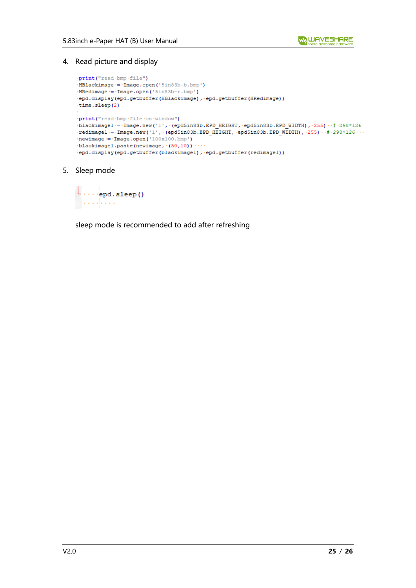4. Read picture and display

```
\cdotprint ("read \cdotbmp\cdotfile")
.HBlackimage = - Image.open('5in83b-b.bmp')
\cdotHRedimage\cdot=\cdotImage.open('5in83b-r.bmp')
.epd.display(epd.getbuffer(HBlackimage), epd.getbuffer(HRedimage))
time.sleep(2)
\cdotprint("read \cdotbmp\cdotfile\cdoton \cdotwindow")
blackimagel = Image.new('1', (epd5in83b.EPD HEIGHT, epd5in83b.EPD WIDTH), 255) +# 298*126
\cdotredimagel = \cdotImage.new('1', \cdot(epd5in83b.EPD_HEIGHT, \cdotepd5in83b.EPD_WIDTH), \cdot255) \cdot\cdot\neq\cdot298*126\cdot\cdot\cdot\cdotnewimage\cdot=\cdotImage.open('100x100.bmp')
\cdotblackimagel.paste(newimage,\cdot(50,10))
·epd.display(epd.getbuffer(blackimagel), ·epd.getbuffer(redimagel))
```
5. Sleep mode

 $\lfloor \ldots \rfloor_{\text{epd, sleep()}}$  $\sim$  . . . . . . . .

sleep mode is recommended to add after refreshing